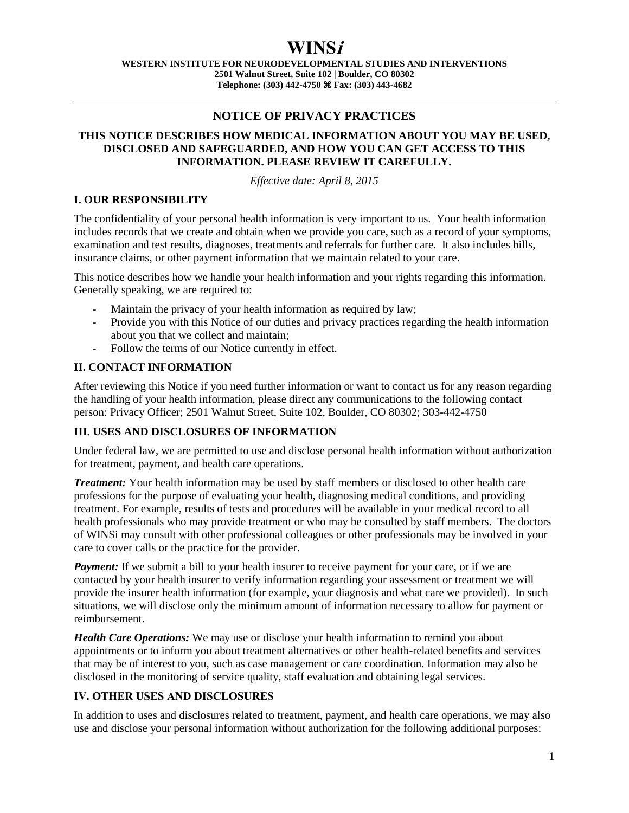# **WINS<sup>i</sup>**

**WESTERN INSTITUTE FOR NEURODEVELOPMENTAL STUDIES AND INTERVENTIONS 2501 Walnut Street, Suite 102 | Boulder, CO 80302 Telephone: (303) 442-4750 Fax: (303) 443-4682**

# **NOTICE OF PRIVACY PRACTICES**

#### **THIS NOTICE DESCRIBES HOW MEDICAL INFORMATION ABOUT YOU MAY BE USED, DISCLOSED AND SAFEGUARDED, AND HOW YOU CAN GET ACCESS TO THIS INFORMATION. PLEASE REVIEW IT CAREFULLY.**

*Effective date: April 8, 2015*

#### **I. OUR RESPONSIBILITY**

The confidentiality of your personal health information is very important to us. Your health information includes records that we create and obtain when we provide you care, such as a record of your symptoms, examination and test results, diagnoses, treatments and referrals for further care. It also includes bills, insurance claims, or other payment information that we maintain related to your care.

This notice describes how we handle your health information and your rights regarding this information. Generally speaking, we are required to:

- Maintain the privacy of your health information as required by law;
- Provide you with this Notice of our duties and privacy practices regarding the health information about you that we collect and maintain;
- Follow the terms of our Notice currently in effect.

### **II. CONTACT INFORMATION**

After reviewing this Notice if you need further information or want to contact us for any reason regarding the handling of your health information, please direct any communications to the following contact person: Privacy Officer; 2501 Walnut Street, Suite 102, Boulder, CO 80302; 303-442-4750

#### **III. USES AND DISCLOSURES OF INFORMATION**

Under federal law, we are permitted to use and disclose personal health information without authorization for treatment, payment, and health care operations.

*Treatment:* Your health information may be used by staff members or disclosed to other health care professions for the purpose of evaluating your health, diagnosing medical conditions, and providing treatment. For example, results of tests and procedures will be available in your medical record to all health professionals who may provide treatment or who may be consulted by staff members. The doctors of WINSi may consult with other professional colleagues or other professionals may be involved in your care to cover calls or the practice for the provider.

*Payment:* If we submit a bill to your health insurer to receive payment for your care, or if we are contacted by your health insurer to verify information regarding your assessment or treatment we will provide the insurer health information (for example, your diagnosis and what care we provided). In such situations, we will disclose only the minimum amount of information necessary to allow for payment or reimbursement.

*Health Care Operations:* We may use or disclose your health information to remind you about appointments or to inform you about treatment alternatives or other health-related benefits and services that may be of interest to you, such as case management or care coordination. Information may also be disclosed in the monitoring of service quality, staff evaluation and obtaining legal services.

#### **IV. OTHER USES AND DISCLOSURES**

In addition to uses and disclosures related to treatment, payment, and health care operations, we may also use and disclose your personal information without authorization for the following additional purposes: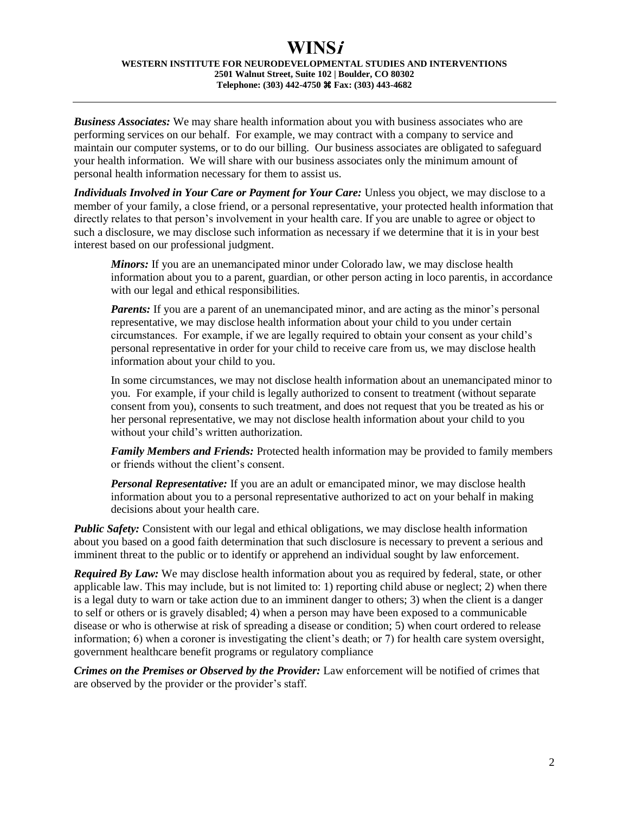#### **WINS<sup>i</sup> WESTERN INSTITUTE FOR NEURODEVELOPMENTAL STUDIES AND INTERVENTIONS 2501 Walnut Street, Suite 102 | Boulder, CO 80302 Telephone: (303) 442-4750 Fax: (303) 443-4682**

*Business Associates:* We may share health information about you with business associates who are performing services on our behalf. For example, we may contract with a company to service and maintain our computer systems, or to do our billing. Our business associates are obligated to safeguard your health information. We will share with our business associates only the minimum amount of personal health information necessary for them to assist us.

*Individuals Involved in Your Care or Payment for Your Care:* Unless you object, we may disclose to a member of your family, a close friend, or a personal representative, your protected health information that directly relates to that person's involvement in your health care. If you are unable to agree or object to such a disclosure, we may disclose such information as necessary if we determine that it is in your best interest based on our professional judgment.

*Minors:* If you are an unemancipated minor under Colorado law, we may disclose health information about you to a parent, guardian, or other person acting in loco parentis, in accordance with our legal and ethical responsibilities.

*Parents:* If you are a parent of an unemancipated minor, and are acting as the minor's personal representative, we may disclose health information about your child to you under certain circumstances. For example, if we are legally required to obtain your consent as your child's personal representative in order for your child to receive care from us, we may disclose health information about your child to you.

In some circumstances, we may not disclose health information about an unemancipated minor to you. For example, if your child is legally authorized to consent to treatment (without separate consent from you), consents to such treatment, and does not request that you be treated as his or her personal representative, we may not disclose health information about your child to you without your child's written authorization.

*Family Members and Friends:* Protected health information may be provided to family members or friends without the client's consent.

*Personal Representative:* If you are an adult or emancipated minor, we may disclose health information about you to a personal representative authorized to act on your behalf in making decisions about your health care.

*Public Safety:* Consistent with our legal and ethical obligations, we may disclose health information about you based on a good faith determination that such disclosure is necessary to prevent a serious and imminent threat to the public or to identify or apprehend an individual sought by law enforcement.

*Required By Law:* We may disclose health information about you as required by federal, state, or other applicable law. This may include, but is not limited to: 1) reporting child abuse or neglect; 2) when there is a legal duty to warn or take action due to an imminent danger to others; 3) when the client is a danger to self or others or is gravely disabled; 4) when a person may have been exposed to a communicable disease or who is otherwise at risk of spreading a disease or condition; 5) when court ordered to release information; 6) when a coroner is investigating the client's death; or 7) for health care system oversight, government healthcare benefit programs or regulatory compliance

*Crimes on the Premises or Observed by the Provider:* Law enforcement will be notified of crimes that are observed by the provider or the provider's staff.